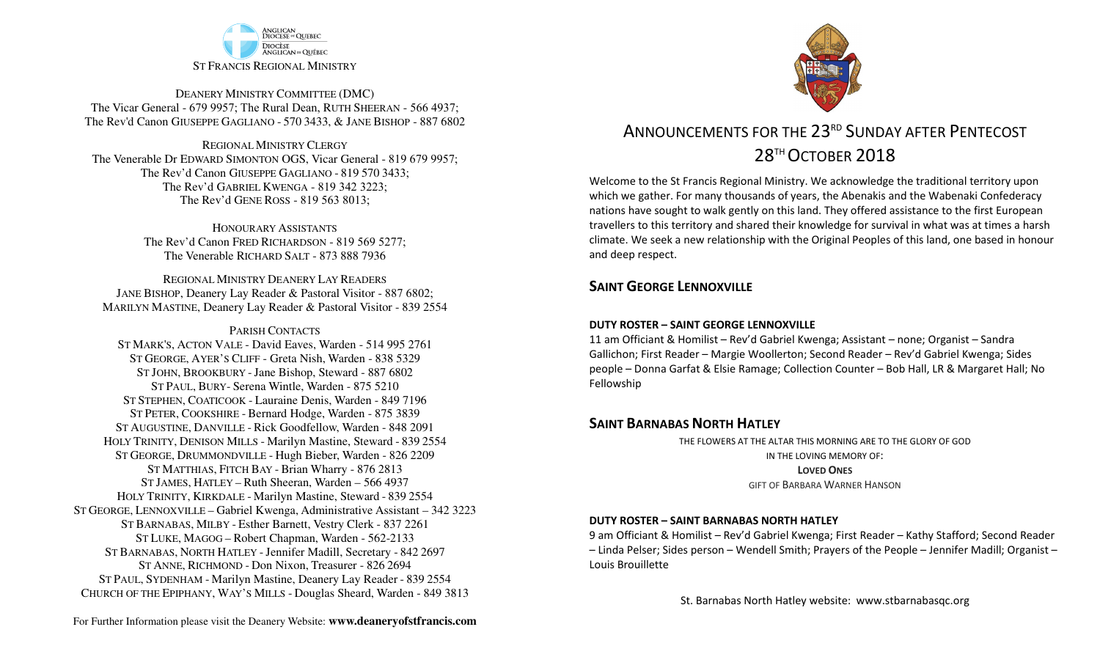

DEANERY MINISTRY COMMITTEE (DMC) The Vicar General - 679 9957; The Rural Dean, RUTH SHEERAN - 566 4937; The Rev'd Canon GIUSEPPE GAGLIANO - <sup>570</sup> 3433, & JANE BISHOP - 887 6802

REGIONAL MINISTRY CLERGY The Venerable Dr EDWARD SIMONTON OGS, Vicar General - 819 679 9957;The Rev'd Canon GIUSEPPE GAGLIANO - <sup>819</sup> <sup>570</sup> 3433; The Rev'd GABRIEL KWENGA - 819 342 3223;The Rev'd GENE ROSS - 819 563 8013;

> HONOURARY ASSISTANTS The Rev'd Canon FRED RICHARDSON - 819 569 5277;The Venerable RICHARD SALT - 873 888 7936

REGIONAL MINISTRY DEANERY LAY READERS JANE BISHOP, Deanery Lay Reader & Pastoral Visitor - 887 6802;MARILYN MASTINE, Deanery Lay Reader & Pastoral Visitor - 839 2554

PARISH CONTACTS

 ST MARK'S, ACTON VALE - David Eaves, Warden - 514 995 2761 ST GEORGE, AYER'S CLIFF - Greta Nish, Warden - 838 5329 ST JOHN, BROOKBURY -Jane Bishop, Steward - 887 6802 ST PAUL, BURY- Serena Wintle, Warden - 875 5210 ST STEPHEN, COATICOOK - Lauraine Denis, Warden - 849 7196 ST PETER, COOKSHIRE - Bernard Hodge, Warden - 875 3839 ST AUGUSTINE, DANVILLE - Rick Goodfellow, Warden - 848 2091 HOLY TRINITY, DENISON MILLS - Marilyn Mastine, Steward - <sup>839</sup> <sup>2554</sup> ST GEORGE, DRUMMONDVILLE - Hugh Bieber, Warden - 826 2209 ST MATTHIAS, FITCH BAY - Brian Wharry - 876 2813 ST JAMES, HATLEY – Ruth Sheeran, Warden – 566 4937 HOLY TRINITY, KIRKDALE - Marilyn Mastine, Steward - <sup>839</sup> <sup>2554</sup> ST GEORGE, LENNOXVILLE – Gabriel Kwenga, Administrative Assistant – 342 3223 ST BARNABAS, MILBY - Esther Barnett, Vestry Clerk - 837 2261 ST LUKE, MAGOG – Robert Chapman, Warden - 562-2133 ST BARNABAS, NORTH HATLEY -Jennifer Madill, Secretary - <sup>842</sup> <sup>2697</sup> ST ANNE, RICHMOND - Don Nixon, Treasurer - 826 <sup>2694</sup> ST PAUL, SYDENHAM - Marilyn Mastine, Deanery Lay Reader - <sup>839</sup> <sup>2554</sup> CHURCH OF THE EPIPHANY, WAY'S MILLS - Douglas Sheard, Warden - 849 3813



# ANNOUNCEMENTS FOR THE 23RD SUNDAY AFTER PENTECOST 28TH OCTOBER 2018

Welcome to the St Francis Regional Ministry. We acknowledge the traditional territory upon which we gather. For many thousands of years, the Abenakis and the Wabenaki Confederacy nations have sought to walk gently on this land. They offered assistance to the first European travellers to this territory and shared their knowledge for survival in what was at times a harsh climate. We seek a new relationship with the Original Peoples of this land, one based in honour and deep respect.

### **SAINT GEORGE LENNOXVILLE**

#### **DUTY ROSTER – SAINT GEORGE LENNOXVILLE**

11 am Officiant & Homilist – Rev'd Gabriel Kwenga; Assistant – none; Organist – Sandra Gallichon; First Reader – Margie Woollerton; Second Reader – Rev'd Gabriel Kwenga; Sides people – Donna Garfat & Elsie Ramage; Collection Counter – Bob Hall, LR & Margaret Hall; No Fellowship

### **SAINT BARNABAS NORTH HATLEY**

THE FLOWERS AT THE ALTAR THIS MORNING ARE TO THE GLORY OF GODIN THE LOVING MEMORY OF:**LOVED ONES**GIFT OF BARBARA WARNER HANSON

#### **DUTY ROSTER – SAINT BARNABAS NORTH HATLEY**

9 am Officiant & Homilist – Rev'd Gabriel Kwenga; First Reader – Kathy Stafford; Second Reader – Linda Pelser; Sides person – Wendell Smith; Prayers of the People – Jennifer Madill; Organist – Louis Brouillette

St. Barnabas North Hatley website: www.stbarnabasqc.org